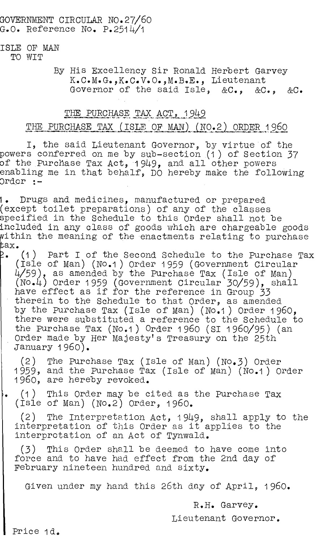### GOVERNMENT CIRCULAR NO.27/60 G.O. Reference No. P.2514/1

#### ISLE OF MAN TO WIT

### By His Excellency Sir Ronald Herbert Garvey K.C.M.G., K.C.V.O., M.B.E., Lieutenant Governor of the said Isle, &C., &C., &C.

## THE PURCHASE TAX ACT, 1949

# THE PURCHASE TAX (ISLE OF MAN) (NO.2) ORDER 1960

I, the said Lieutenant Governor, by virtue of the powers conferred on me by sub-section (1) of Section 37 of the Purchase Tax Act, 1949, and all other powers enabling me in that behalf, DO hereby make the following ordor :-

1. Drugs and medicines, manufactured or prepared (except toilet preparations) of any of the classes specified in the Schedule to this Order shall not be included in any class of goods which are chargeable goods within the meaning of the enactments relating to purchase ax.

2. . (1) Part I of the Second Schedule to the Purchase Tax (Isle of Man) (No.1) Order 1959 (Government Circular  $4/59$ ), as amended by the Purchase Tax (Isle of Man) (No.4) Order 1959 (Government Circular 30/59), shall have effect as if for the reference in Group 33 therein to the Schedule to that Order, as amended by the Purchase Tax (Isle of Man) (No.1) Order 1960, there were substituted a reference to the Schedule to the Purchase Tax (No.1) Order 196o (Si 1960/95) (an Order made by Her Majesty's Treasury on the 25th January 1960).

(2) The Purchase Tax (Isle of Man) (No.3) Order 1959, and the Purchase Tax (Isle of Man) (No.1) Order 196o, are hereby revoked.

(1) This Order may be cited as the Purchase Tax ۱۰, (Isle of Man) (No.2) Order, 1960.

(2) The Interpretation Act, 1949, shall apply to the interpretation of this Order as it applies to the interpretation of an Act of Tynwald.

(3) This Order shall be deemed to have come into force and to have had effect from the 2nd day of February nineteen hundred and sixty.

Given under my hand this 26th day of April, 1960.

R.H. Garvey.

Lieutenant Governor.

Price 1d.